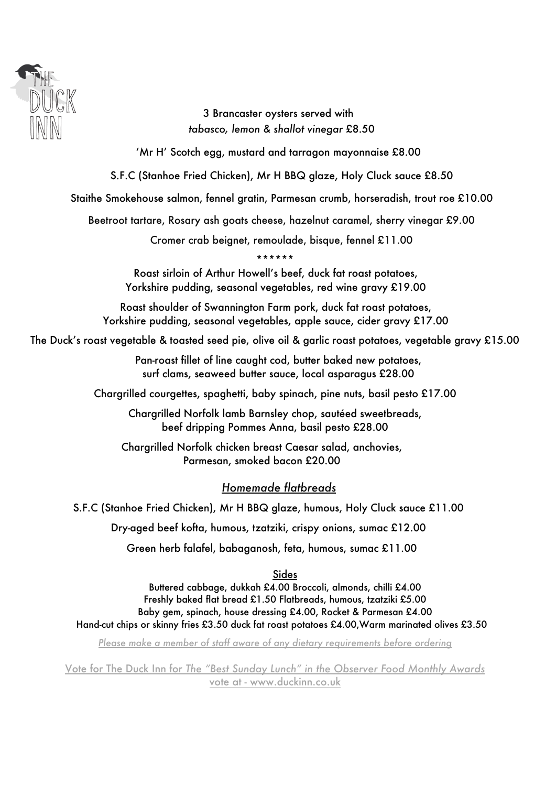

3 Brancaster oysters served with *tabasco, lemon & shallot vinegar* £8.50

'Mr H' Scotch egg, mustard and tarragon mayonnaise £8.00

S.F.C (Stanhoe Fried Chicken), Mr H BBQ glaze, Holy Cluck sauce £8.50

Staithe Smokehouse salmon, fennel gratin, Parmesan crumb, horseradish, trout roe £10.00

Beetroot tartare, Rosary ash goats cheese, hazelnut caramel, sherry vinegar £9.00

Cromer crab beignet, remoulade, bisque, fennel £11.00

\*\*\*\*\*\*

Roast sirloin of Arthur Howell's beef, duck fat roast potatoes, Yorkshire pudding, seasonal vegetables, red wine gravy £19.00

Roast shoulder of Swannington Farm pork, duck fat roast potatoes, Yorkshire pudding, seasonal vegetables, apple sauce, cider gravy £17.00

The Duck's roast vegetable & toasted seed pie, olive oil & garlic roast potatoes, vegetable gravy £15.00

Pan-roast fillet of line caught cod, butter baked new potatoes, surf clams, seaweed butter sauce, local asparagus £28.00

Chargrilled courgettes, spaghetti, baby spinach, pine nuts, basil pesto £17.00

Chargrilled Norfolk lamb Barnsley chop, sautéed sweetbreads, beef dripping Pommes Anna, basil pesto £28.00

Chargrilled Norfolk chicken breast Caesar salad, anchovies, Parmesan, smoked bacon £20.00

## *Homemade flatbreads*

S.F.C (Stanhoe Fried Chicken), Mr H BBQ glaze, humous, Holy Cluck sauce £11.00

Dry-aged beef kofta, humous, tzatziki, crispy onions, sumac £12.00

Green herb falafel, babaganosh, feta, humous, sumac £11.00

Sides

Buttered cabbage, dukkah £4.00 Broccoli, almonds, chilli £4.00 Freshly baked flat bread £1.50 Flatbreads, humous, tzatziki £5.00 Baby gem, spinach, house dressing £4.00, Rocket & Parmesan £4.00 Hand-cut chips or skinny fries £3.50 duck fat roast potatoes £4.00,Warm marinated olives £3.50

*Please make a member of staff aware of any dietary requirements before ordering*

Vote for The Duck Inn for *The "Best Sunday Lunch" in the Observer Food Monthly Awards* vote at - www.duckinn.co.uk